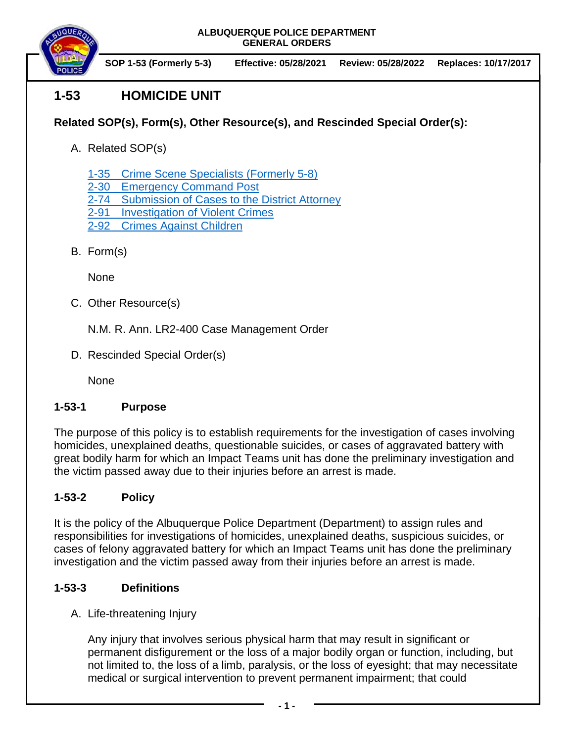

**SOP 1-53 (Formerly 5-3) Effective: 05/28/2021 Review: 05/28/2022 Replaces: 10/17/2017**

# **1-53 HOMICIDE UNIT**

## **Related SOP(s), Form(s), Other Resource(s), and Rescinded Special Order(s):**

A. Related SOP(s)

1-35 [Crime Scene Specialists](https://powerdms.com/docs/525279) (Formerly 5-8)

2-30 [Emergency Command](https://powerdms.com/docs/54) Post

- 2-74 [Submission of Cases to the District Attorney](https://powerdms.com/docs/122)
- 2-91 [Investigation of Violent Crimes](https://powerdms.com/docs/111)
- [2-92 Crimes Against Children](https://powerdms.com/docs/116)
- B. Form(s)

**None** 

C. Other Resource(s)

N.M. R. Ann. LR2-400 Case Management Order

D. Rescinded Special Order(s)

None

## **1-53-1 Purpose**

The purpose of this policy is to establish requirements for the investigation of cases involving homicides, unexplained deaths, questionable suicides, or cases of aggravated battery with great bodily harm for which an Impact Teams unit has done the preliminary investigation and the victim passed away due to their injuries before an arrest is made.

## **1-53-2 Policy**

It is the policy of the Albuquerque Police Department (Department) to assign rules and responsibilities for investigations of homicides, unexplained deaths, suspicious suicides, or cases of felony aggravated battery for which an Impact Teams unit has done the preliminary investigation and the victim passed away from their injuries before an arrest is made.

## **1-53-3 Definitions**

A. Life-threatening Injury

Any injury that involves serious physical harm that may result in significant or permanent disfigurement or the loss of a major bodily organ or function, including, but not limited to, the loss of a limb, paralysis, or the loss of eyesight; that may necessitate medical or surgical intervention to prevent permanent impairment; that could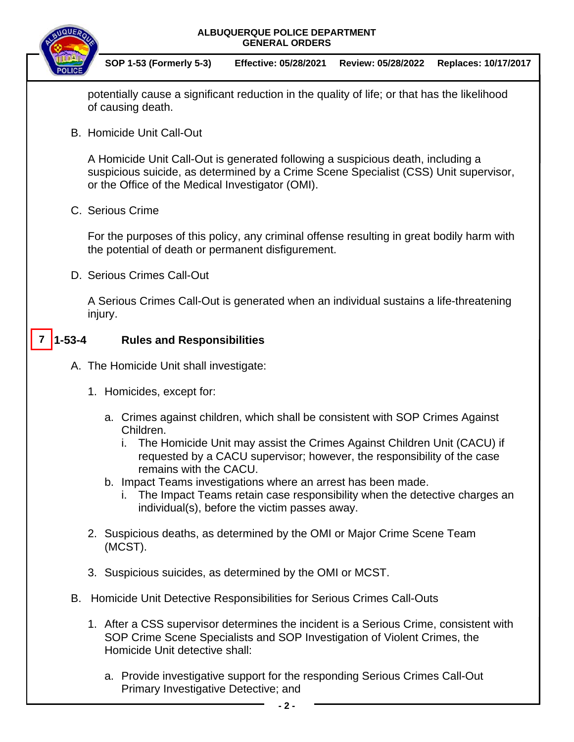

**SOP 1-53 (Formerly 5-3) Effective: 05/28/2021 Review: 05/28/2022 Replaces: 10/17/2017**

potentially cause a significant reduction in the quality of life; or that has the likelihood of causing death.

B. Homicide Unit Call-Out

A Homicide Unit Call-Out is generated following a suspicious death, including a suspicious suicide, as determined by a Crime Scene Specialist (CSS) Unit supervisor, or the Office of the Medical Investigator (OMI).

C. Serious Crime

For the purposes of this policy, any criminal offense resulting in great bodily harm with the potential of death or permanent disfigurement.

D. Serious Crimes Call-Out

A Serious Crimes Call-Out is generated when an individual sustains a life-threatening injury.

#### **1-53-4 Rules and Responsibilities 7**

- A. The Homicide Unit shall investigate:
	- 1. Homicides, except for:
		- a. Crimes against children, which shall be consistent with SOP Crimes Against Children.
			- i. The Homicide Unit may assist the Crimes Against Children Unit (CACU) if requested by a CACU supervisor; however, the responsibility of the case remains with the CACU.
		- b. Impact Teams investigations where an arrest has been made.
			- i. The Impact Teams retain case responsibility when the detective charges an individual(s), before the victim passes away.
	- 2. Suspicious deaths, as determined by the OMI or Major Crime Scene Team (MCST).
	- 3. Suspicious suicides, as determined by the OMI or MCST.
- B. Homicide Unit Detective Responsibilities for Serious Crimes Call-Outs
	- 1. After a CSS supervisor determines the incident is a Serious Crime, consistent with SOP Crime Scene Specialists and SOP Investigation of Violent Crimes, the Homicide Unit detective shall:
		- a. Provide investigative support for the responding Serious Crimes Call-Out Primary Investigative Detective; and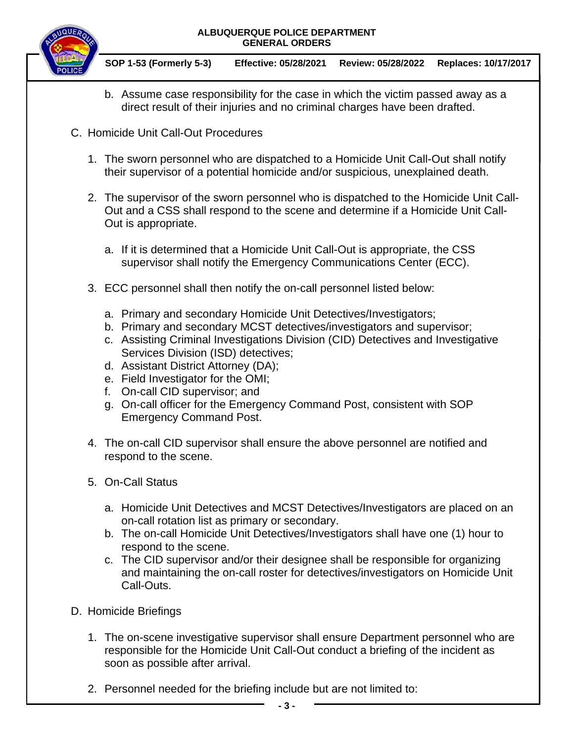

**SOP 1-53 (Formerly 5-3) Effective: 05/28/2021 Review: 05/28/2022 Replaces: 10/17/2017**

- b. Assume case responsibility for the case in which the victim passed away as a direct result of their injuries and no criminal charges have been drafted.
- C. Homicide Unit Call-Out Procedures
	- 1. The sworn personnel who are dispatched to a Homicide Unit Call-Out shall notify their supervisor of a potential homicide and/or suspicious, unexplained death.
	- 2. The supervisor of the sworn personnel who is dispatched to the Homicide Unit Call-Out and a CSS shall respond to the scene and determine if a Homicide Unit Call-Out is appropriate.
		- a. If it is determined that a Homicide Unit Call-Out is appropriate, the CSS supervisor shall notify the Emergency Communications Center (ECC).
	- 3. ECC personnel shall then notify the on-call personnel listed below:
		- a. Primary and secondary Homicide Unit Detectives/Investigators;
		- b. Primary and secondary MCST detectives/investigators and supervisor;
		- c. Assisting Criminal Investigations Division (CID) Detectives and Investigative Services Division (ISD) detectives;
		- d. Assistant District Attorney (DA);
		- e. Field Investigator for the OMI;
		- f. On-call CID supervisor; and
		- g. On-call officer for the Emergency Command Post, consistent with SOP Emergency Command Post.
	- 4. The on-call CID supervisor shall ensure the above personnel are notified and respond to the scene.
	- 5. On-Call Status
		- a. Homicide Unit Detectives and MCST Detectives/Investigators are placed on an on-call rotation list as primary or secondary.
		- b. The on-call Homicide Unit Detectives/Investigators shall have one (1) hour to respond to the scene.
		- c. The CID supervisor and/or their designee shall be responsible for organizing and maintaining the on-call roster for detectives/investigators on Homicide Unit Call-Outs.
- D. Homicide Briefings
	- 1. The on-scene investigative supervisor shall ensure Department personnel who are responsible for the Homicide Unit Call-Out conduct a briefing of the incident as soon as possible after arrival.
	- 2. Personnel needed for the briefing include but are not limited to: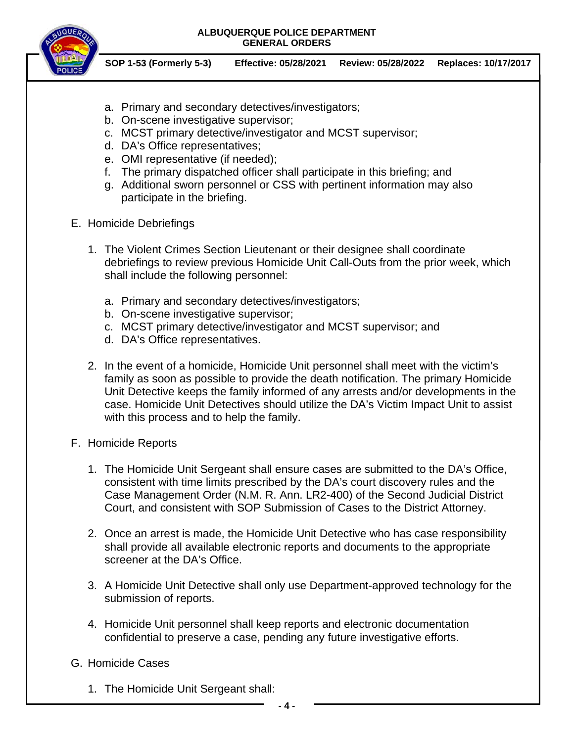

**SOP 1-53 (Formerly 5-3) Effective: 05/28/2021 Review: 05/28/2022 Replaces: 10/17/2017**

- a. Primary and secondary detectives/investigators;
- b. On-scene investigative supervisor;
- c. MCST primary detective/investigator and MCST supervisor;
- d. DA's Office representatives;
- e. OMI representative (if needed);
- f. The primary dispatched officer shall participate in this briefing; and
- g. Additional sworn personnel or CSS with pertinent information may also participate in the briefing.
- E. Homicide Debriefings
	- 1. The Violent Crimes Section Lieutenant or their designee shall coordinate debriefings to review previous Homicide Unit Call-Outs from the prior week, which shall include the following personnel:
		- a. Primary and secondary detectives/investigators;
		- b. On-scene investigative supervisor;
		- c. MCST primary detective/investigator and MCST supervisor; and
		- d. DA's Office representatives.
	- 2. In the event of a homicide, Homicide Unit personnel shall meet with the victim's family as soon as possible to provide the death notification. The primary Homicide Unit Detective keeps the family informed of any arrests and/or developments in the case. Homicide Unit Detectives should utilize the DA's Victim Impact Unit to assist with this process and to help the family.
- F. Homicide Reports
	- 1. The Homicide Unit Sergeant shall ensure cases are submitted to the DA's Office, consistent with time limits prescribed by the DA's court discovery rules and the Case Management Order (N.M. R. Ann. LR2-400) of the Second Judicial District Court, and consistent with SOP Submission of Cases to the District Attorney.
	- 2. Once an arrest is made, the Homicide Unit Detective who has case responsibility shall provide all available electronic reports and documents to the appropriate screener at the DA's Office.
	- 3. A Homicide Unit Detective shall only use Department-approved technology for the submission of reports.
	- 4. Homicide Unit personnel shall keep reports and electronic documentation confidential to preserve a case, pending any future investigative efforts.
- G. Homicide Cases
	- 1. The Homicide Unit Sergeant shall: